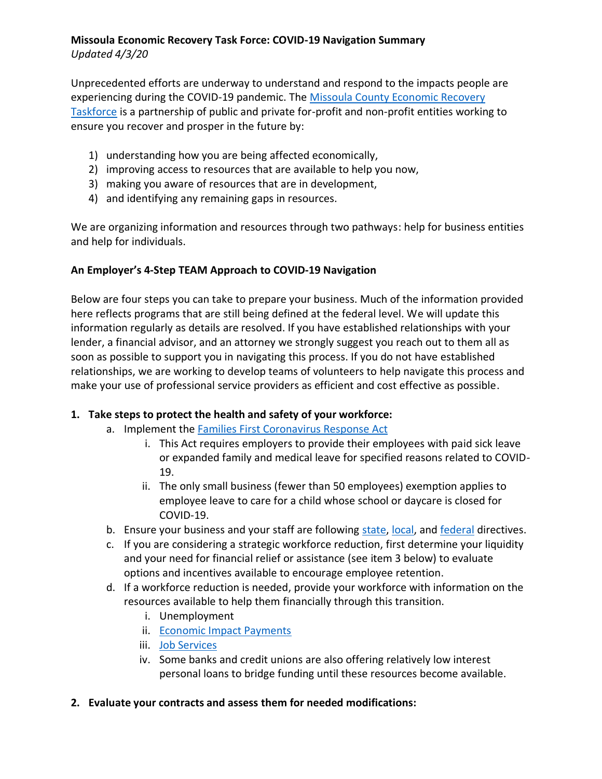# **Missoula Economic Recovery Task Force: COVID-19 Navigation Summary**

*Updated 4/3/20*

Unprecedented efforts are underway to understand and respond to the impacts people are experiencing during the COVID-19 pandemic. The [Missoula County Economic Recovery](http://www.missoulapartnership.com/wp-content/uploads/2020/04/Missoula-County-Economic-Recovery-Taskforce-Members.pdf)  [Taskforce](http://www.missoulapartnership.com/wp-content/uploads/2020/04/Missoula-County-Economic-Recovery-Taskforce-Members.pdf) is a partnership of public and private for-profit and non-profit entities working to ensure you recover and prosper in the future by:

- 1) understanding how you are being affected economically,
- 2) improving access to resources that are available to help you now,
- 3) making you aware of resources that are in development,
- 4) and identifying any remaining gaps in resources.

We are organizing information and resources through two pathways: help for business entities and help for individuals.

# **An Employer's 4-Step TEAM Approach to COVID-19 Navigation**

Below are four steps you can take to prepare your business. Much of the information provided here reflects programs that are still being defined at the federal level. We will update this information regularly as details are resolved. If you have established relationships with your lender, a financial advisor, and an attorney we strongly suggest you reach out to them all as soon as possible to support you in navigating this process. If you do not have established relationships, we are working to develop teams of volunteers to help navigate this process and make your use of professional service providers as efficient and cost effective as possible.

# **1. Take steps to protect the health and safety of your workforce:**

- a. Implement the Families [First Coronavirus Response Act](https://www.dol.gov/agencies/whd/pandemic/ffcra-employer-paid-leave)
	- i. This Act requires employers to provide their employees with paid sick leave or expanded family and medical leave for specified reasons related to COVID-19.
	- ii. The only small business (fewer than 50 employees) exemption applies to employee leave to care for a child whose school or daycare is closed for COVID-19.
- b. Ensure your business and your staff are following [state,](https://covid19.mt.gov/joint-information-center) [local,](https://www.missoulacounty.us/government/health/health-department/emergency-preparedness/coronavirus/guidance-for-businesses) and [federal](https://www.cdc.gov/coronavirus/2019-ncov/community/guidance-business-response.html) directives.
- c. If you are considering a strategic workforce reduction, first determine your liquidity and your need for financial relief or assistance (see item 3 below) to evaluate options and incentives available to encourage employee retention.
- d. If a workforce reduction is needed, provide your workforce with information on the resources available to help them financially through this transition.
	- i. Unemployment
	- ii. [Economic Impact Payments](https://www.irs.gov/newsroom/economic-impact-payments-what-you-need-to-know)
	- iii. [Job Services](https://montanaworks.gov/job-service-montana)
	- iv. Some banks and credit unions are also offering relatively low interest personal loans to bridge funding until these resources become available.

### **2. Evaluate your contracts and assess them for needed modifications:**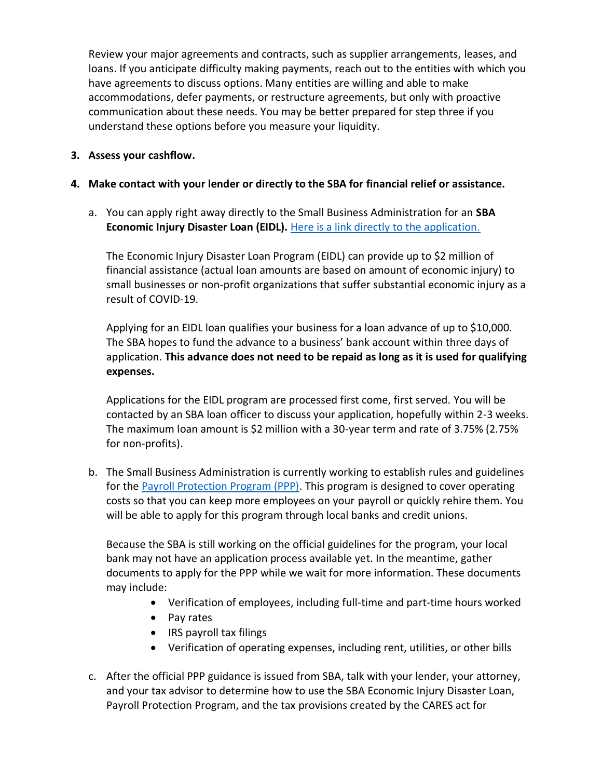Review your major agreements and contracts, such as supplier arrangements, leases, and loans. If you anticipate difficulty making payments, reach out to the entities with which you have agreements to discuss options. Many entities are willing and able to make accommodations, defer payments, or restructure agreements, but only with proactive communication about these needs. You may be better prepared for step three if you understand these options before you measure your liquidity.

#### **3. Assess your cashflow.**

#### **4. Make contact with your lender or directly to the SBA for financial relief or assistance.**

a. You can apply right away directly to the Small Business Administration for an **SBA Economic Injury Disaster Loan (EIDL).** [Here is a link directly to the application.](https://covid19relief.sba.gov/#/)

The Economic Injury Disaster Loan Program (EIDL) can provide up to \$2 million of financial assistance (actual loan amounts are based on amount of economic injury) to small businesses or non-profit organizations that suffer substantial economic injury as a result of COVID-19.

Applying for an EIDL loan qualifies your business for a loan advance of up to \$10,000. The SBA hopes to fund the advance to a business' bank account within three days of application. **This advance does not need to be repaid as long as it is used for qualifying expenses.**

Applications for the EIDL program are processed first come, first served. You will be contacted by an SBA loan officer to discuss your application, hopefully within 2-3 weeks. The maximum loan amount is \$2 million with a 30-year term and rate of 3.75% (2.75% for non-profits).

b. The Small Business Administration is currently working to establish rules and guidelines for the [Payroll Protection Program \(PPP\).](https://home.treasury.gov/system/files/136/PPP--Fact-Sheet.pdf) This program is designed to cover operating costs so that you can keep more employees on your payroll or quickly rehire them. You will be able to apply for this program through local banks and credit unions.

Because the SBA is still working on the official guidelines for the program, your local bank may not have an application process available yet. In the meantime, gather documents to apply for the PPP while we wait for more information. These documents may include:

- Verification of employees, including full-time and part-time hours worked
- Pay rates
- IRS payroll tax filings
- Verification of operating expenses, including rent, utilities, or other bills
- c. After the official PPP guidance is issued from SBA, talk with your lender, your attorney, and your tax advisor to determine how to use the SBA Economic Injury Disaster Loan, Payroll Protection Program, and the tax provisions created by the CARES act for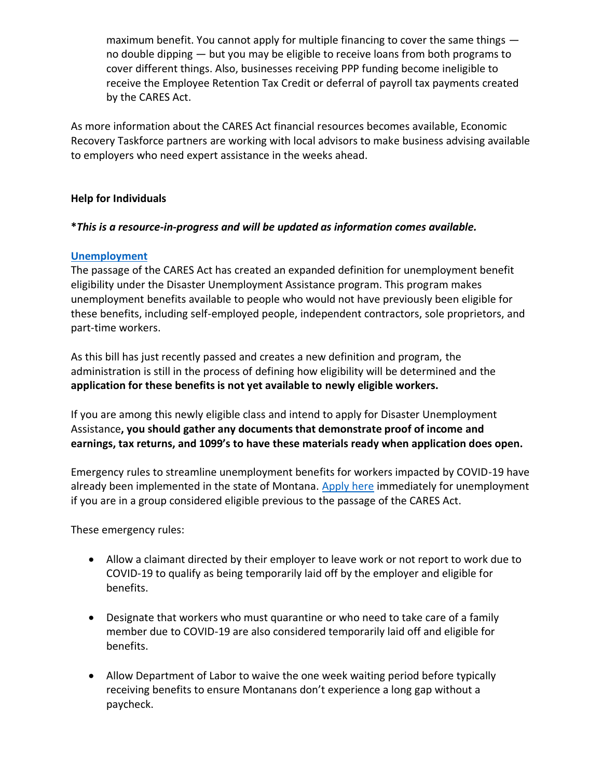maximum benefit. You cannot apply for multiple financing to cover the same things no double dipping — but you may be eligible to receive loans from both programs to cover different things. Also, businesses receiving PPP funding become ineligible to receive the Employee Retention Tax Credit or deferral of payroll tax payments created by the CARES Act.

As more information about the CARES Act financial resources becomes available, Economic Recovery Taskforce partners are working with local advisors to make business advising available to employers who need expert assistance in the weeks ahead.

### **Help for Individuals**

## **\****This is a resource-in-progress and will be updated as information comes available.*

## **[Unemployment](http://dli.mt.gov/Portals/57/Documents/covid-19/employee-FAQ.pdf?ver=2020-03-26-155411-993)**

The passage of the CARES Act has created an expanded definition for unemployment benefit eligibility under the Disaster Unemployment Assistance program. This program makes unemployment benefits available to people who would not have previously been eligible for these benefits, including self-employed people, independent contractors, sole proprietors, and part-time workers.

As this bill has just recently passed and creates a new definition and program, the administration is still in the process of defining how eligibility will be determined and the **application for these benefits is not yet available to newly eligible workers.** 

If you are among this newly eligible class and intend to apply for Disaster Unemployment Assistance**, you should gather any documents that demonstrate proof of income and earnings, tax returns, and 1099's to have these materials ready when application does open.**

Emergency rules to streamline unemployment benefits for workers impacted by COVID-19 have already been implemented in the state of Montana. [Apply here](https://montanaworks.gov/) immediately for unemployment if you are in a group considered eligible previous to the passage of the CARES Act.

These emergency rules:

- Allow a claimant directed by their employer to leave work or not report to work due to COVID-19 to qualify as being temporarily laid off by the employer and eligible for benefits.
- Designate that workers who must quarantine or who need to take care of a family member due to COVID-19 are also considered temporarily laid off and eligible for benefits.
- Allow Department of Labor to waive the one week waiting period before typically receiving benefits to ensure Montanans don't experience a long gap without a paycheck.